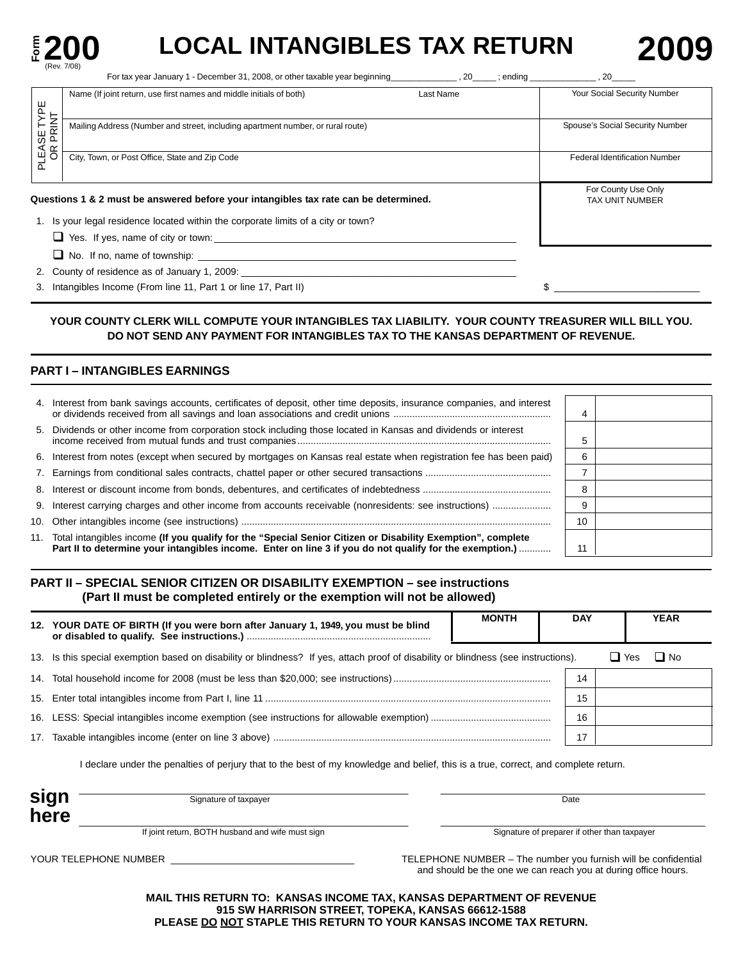

# **E 200 LOCAL INTANGIBLES TAX RETURN 2009**

|                       | For tax year January 1 - December 31, 2008, or other taxable year beginning [100]. 20 |           | ending 30                                     |
|-----------------------|---------------------------------------------------------------------------------------|-----------|-----------------------------------------------|
| ye<br>VF              | Name (If joint return, use first names and middle initials of both)                   | Last Name | Your Social Security Number                   |
| 'LEASE TY<br>OR PRINT | Mailing Address (Number and street, including apartment number, or rural route)       |           | Spouse's Social Security Number               |
| $\overline{a}$        | City, Town, or Post Office, State and Zip Code                                        |           | <b>Federal Identification Number</b>          |
|                       | Questions 1 & 2 must be answered before your intangibles tax rate can be determined.  |           | For County Use Only<br><b>TAX UNIT NUMBER</b> |
|                       | 1. Is your legal residence located within the corporate limits of a city or town?     |           |                                               |
|                       | $\Box$ Yes. If yes, name of city or town:                                             |           |                                               |
|                       | $\Box$ No. If no, name of township:                                                   |           |                                               |
|                       | 2. County of residence as of January 1, 2009:                                         |           |                                               |

3. Intangibles Income (From line 11, Part 1 or line 17, Part II)  $\sqrt{2}$   $\frac{1}{2}$   $\frac{1}{2}$ 

## **YOUR COUNTY CLERK WILL COMPUTE YOUR INTANGIBLES TAX LIABILITY. YOUR COUNTY TREASURER WILL BILL YOU. DO NOT SEND ANY PAYMENT FOR INTANGIBLES TAX TO THE KANSAS DEPARTMENT OF REVENUE.**

## **PART I – INTANGIBLES EARNINGS**

| 4. Interest from bank savings accounts, certificates of deposit, other time deposits, insurance companies, and interest                                                                                                    | 4  |  |
|----------------------------------------------------------------------------------------------------------------------------------------------------------------------------------------------------------------------------|----|--|
| 5. Dividends or other income from corporation stock including those located in Kansas and dividends or interest                                                                                                            | G  |  |
| 6. Interest from notes (except when secured by mortgages on Kansas real estate when registration fee has been paid)                                                                                                        | 6  |  |
|                                                                                                                                                                                                                            |    |  |
|                                                                                                                                                                                                                            | 8  |  |
|                                                                                                                                                                                                                            | 9  |  |
|                                                                                                                                                                                                                            | 10 |  |
| 11. Total intangibles income (If you qualify for the "Special Senior Citizen or Disability Exemption", complete<br>Part II to determine your intangibles income. Enter on line 3 if you do not qualify for the exemption.) |    |  |

## **PART II – SPECIAL SENIOR CITIZEN OR DISABILITY EXEMPTION – see instructions (Part II must be completed entirely or the exemption will not be allowed)**

| 12. YOUR DATE OF BIRTH (If you were born after January 1, 1949, you must be blind                                                   | <b>MONTH</b> | <b>DAY</b> |       | <b>YEAR</b> |
|-------------------------------------------------------------------------------------------------------------------------------------|--------------|------------|-------|-------------|
| 13. Is this special exemption based on disability or blindness? If yes, attach proof of disability or blindness (see instructions). |              |            | ⊔ Yes | $\Box$ No   |
|                                                                                                                                     |              | 14         |       |             |
|                                                                                                                                     |              | 15         |       |             |
|                                                                                                                                     |              | 16         |       |             |
|                                                                                                                                     |              |            |       |             |

I declare under the penalties of perjury that to the best of my knowledge and belief, this is a true, correct, and complete return.

| sign<br>here | Signature of taxpayer                            | Date                                         |
|--------------|--------------------------------------------------|----------------------------------------------|
|              | If joint return, BOTH husband and wife must sign | Signature of preparer if other than taxpayer |

YOUR TELEPHONE NUMBER \_\_\_\_\_\_\_\_\_\_\_\_\_\_\_\_\_\_\_\_\_\_\_\_\_\_\_\_\_\_\_\_\_\_ TELEPHONE NUMBER – The number you furnish will be confidential and should be the one we can reach you at during office hours.

> **MAIL THIS RETURN TO: KANSAS INCOME TAX, KANSAS DEPARTMENT OF REVENUE 915 SW HARRISON STREET, TOPEKA, KANSAS 66612-1588 PLEASE DO NOT STAPLE THIS RETURN TO YOUR KANSAS INCOME TAX RETURN.**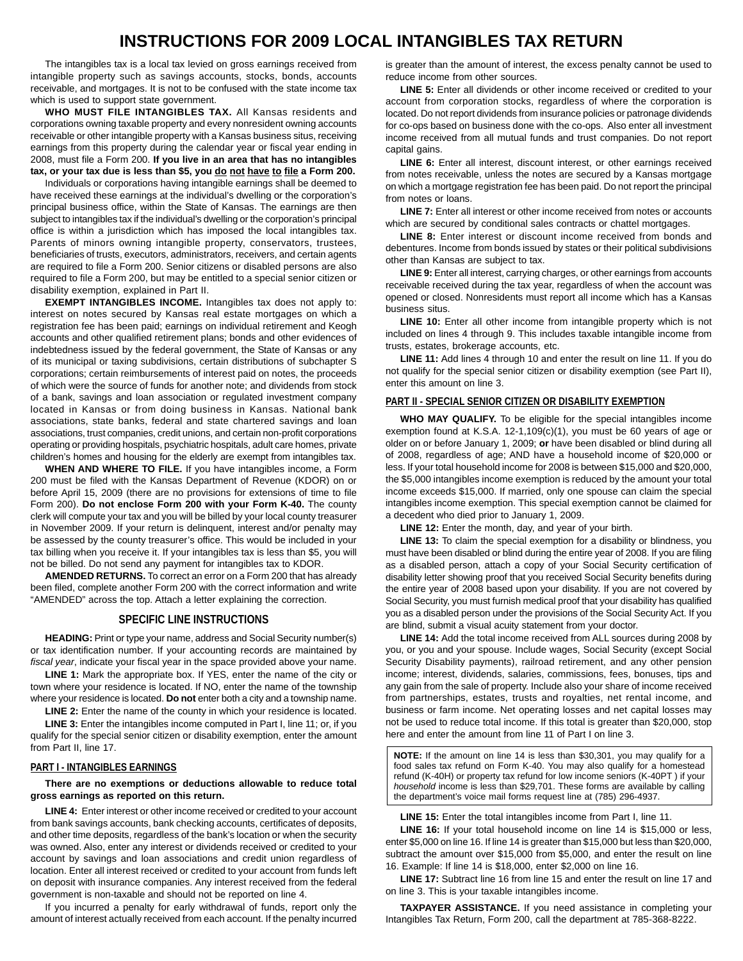## **INSTRUCTIONS FOR 2009 LOCAL INTANGIBLES TAX RETURN**

The intangibles tax is a local tax levied on gross earnings received from intangible property such as savings accounts, stocks, bonds, accounts receivable, and mortgages. It is not to be confused with the state income tax which is used to support state government.

**WHO MUST FILE INTANGIBLES TAX.** All Kansas residents and corporations owning taxable property and every nonresident owning accounts receivable or other intangible property with a Kansas business situs, receiving earnings from this property during the calendar year or fiscal year ending in 2008, must file a Form 200. **If you live in an area that has no intangibles tax, or your tax due is less than \$5, you do not have to file a Form 200.** 

Individuals or corporations having intangible earnings shall be deemed to have received these earnings at the individual's dwelling or the corporation's principal business office, within the State of Kansas. The earnings are then subject to intangibles tax if the individual's dwelling or the corporation's principal office is within a jurisdiction which has imposed the local intangibles tax. Parents of minors owning intangible property, conservators, trustees, beneficiaries of trusts, executors, administrators, receivers, and certain agents are required to file a Form 200. Senior citizens or disabled persons are also required to file a Form 200, but may be entitled to a special senior citizen or disability exemption, explained in Part II.

**EXEMPT INTANGIBLES INCOME.** Intangibles tax does not apply to: interest on notes secured by Kansas real estate mortgages on which a registration fee has been paid; earnings on individual retirement and Keogh accounts and other qualified retirement plans; bonds and other evidences of indebtedness issued by the federal government, the State of Kansas or any of its municipal or taxing subdivisions, certain distributions of subchapter S corporations; certain reimbursements of interest paid on notes, the proceeds of which were the source of funds for another note; and dividends from stock of a bank, savings and loan association or regulated investment company located in Kansas or from doing business in Kansas. National bank associations, state banks, federal and state chartered savings and loan associations, trust companies, credit unions, and certain non-profit corporations operating or providing hospitals, psychiatric hospitals, adult care homes, private children's homes and housing for the elderly are exempt from intangibles tax.

**WHEN AND WHERE TO FILE.** If you have intangibles income, a Form 200 must be filed with the Kansas Department of Revenue (KDOR) on or before April 15, 2009 (there are no provisions for extensions of time to file Form 200). **Do not enclose Form 200 with your Form K-40.** The county clerk will compute your tax and you will be billed by your local county treasurer in November 2009. If your return is delinquent, interest and/or penalty may be assessed by the county treasurer's office. This would be included in your tax billing when you receive it. If your intangibles tax is less than \$5, you will not be billed. Do not send any payment for intangibles tax to KDOR.

**AMENDED RETURNS.** To correct an error on a Form 200 that has already been filed, complete another Form 200 with the correct information and write "AMENDED" across the top. Attach a letter explaining the correction.

## **SPECIFIC LINE INSTRUCTIONS**

**HEADING:** Print or type your name, address and Social Security number(s) or tax identification number. If your accounting records are maintained by *fiscal year*, indicate your fiscal year in the space provided above your name.

**LINE 1:** Mark the appropriate box. If YES, enter the name of the city or town where your residence is located. If NO, enter the name of the township where your residence is located. **Do not** enter both a city and a township name.

**LINE 2:** Enter the name of the county in which your residence is located.

**LINE 3:** Enter the intangibles income computed in Part I, line 11; or, if you qualify for the special senior citizen or disability exemption, enter the amount from Part II, line 17.

#### **PART I - INTANGIBLES EARNINGS**

**There are no exemptions or deductions allowable to reduce total gross earnings as reported on this return.** 

**LINE 4:** Enter interest or other income received or credited to your account from bank savings accounts, bank checking accounts, certificates of deposits, and other time deposits, regardless of the bank's location or when the security was owned. Also, enter any interest or dividends received or credited to your account by savings and loan associations and credit union regardless of location. Enter all interest received or credited to your account from funds left on deposit with insurance companies. Any interest received from the federal government is non-taxable and should not be reported on line 4.

If you incurred a penalty for early withdrawal of funds, report only the amount of interest actually received from each account. If the penalty incurred is greater than the amount of interest, the excess penalty cannot be used to reduce income from other sources.

 for co-ops based on business done with the co-ops. Also enter all investment LINE 5: Enter all dividends or other income received or credited to your account from corporation stocks, regardless of where the corporation is located. Do not report dividends from insurance policies or patronage dividends income received from all mutual funds and trust companies. Do not report capital gains.

LINE 6: Enter all interest, discount interest, or other earnings received from notes receivable, unless the notes are secured by a Kansas mortgage on which a mortgage registration fee has been paid. Do not report the principal from notes or loans.

**LINE 7:** Enter all interest or other income received from notes or accounts which are secured by conditional sales contracts or chattel mortgages.

**LINE 8:** Enter interest or discount income received from bonds and debentures. Income from bonds issued by states or their political subdivisions other than Kansas are subject to tax.

**LINE 9:** Enter all interest, carrying charges, or other earnings from accounts receivable received during the tax year, regardless of when the account was opened or closed. Nonresidents must report all income which has a Kansas business situs.

LINE 10: Enter all other income from intangible property which is not included on lines 4 through 9. This includes taxable intangible income from trusts, estates, brokerage accounts, etc.

**LINE 11:** Add lines 4 through 10 and enter the result on line 11. If you do not qualify for the special senior citizen or disability exemption (see Part II), enter this amount on line 3.

#### **PART II - SPECIAL SENIOR CITIZEN OR DISABILITY EXEMPTION**

**WHO MAY QUALIFY.** To be eligible for the special intangibles income exemption found at K.S.A. 12-1,109(c)(1), you must be 60 years of age or older on or before January 1, 2009; **or** have been disabled or blind during all of 2008, regardless of age; AND have a household income of \$20,000 or less. If your total household income for 2008 is between \$15,000 and \$20,000, the \$5,000 intangibles income exemption is reduced by the amount your total income exceeds \$15,000. If married, only one spouse can claim the special intangibles income exemption. This special exemption cannot be claimed for a decedent who died prior to January 1, 2009.

**LINE 12:** Enter the month, day, and year of your birth.

LINE 13: To claim the special exemption for a disability or blindness, you must have been disabled or blind during the entire year of 2008. If you are filing as a disabled person, attach a copy of your Social Security certification of disability letter showing proof that you received Social Security benefits during the entire year of 2008 based upon your disability. If you are not covered by Social Security, you must furnish medical proof that your disability has qualified you as a disabled person under the provisions of the Social Security Act. If you are blind, submit a visual acuity statement from your doctor.

**LINE 14:** Add the total income received from ALL sources during 2008 by you, or you and your spouse. Include wages, Social Security (except Social Security Disability payments), railroad retirement, and any other pension income; interest, dividends, salaries, commissions, fees, bonuses, tips and any gain from the sale of property. Include also your share of income received from partnerships, estates, trusts and royalties, net rental income, and business or farm income. Net operating losses and net capital losses may not be used to reduce total income. If this total is greater than \$20,000, stop here and enter the amount from line 11 of Part I on line 3.

**NOTE:** If the amount on line 14 is less than \$30,301, you may qualify for a food sales tax refund on Form K-40. You may also qualify for a homestead refund (K-40H) or property tax refund for low income seniors (K-40PT ) if your *household* income is less than \$29,701. These forms are available by calling the department's voice mail forms request line at (785) 296-4937.

**LINE 15:** Enter the total intangibles income from Part I, line 11.

**LINE 16:** If your total household income on line 14 is \$15,000 or less, enter \$5,000 on line 16. If line 14 is greater than \$15,000 but less than \$20,000, subtract the amount over \$15,000 from \$5,000, and enter the result on line 16. Example: If line 14 is \$18,000, enter \$2,000 on line 16.

**LINE 17:** Subtract line 16 from line 15 and enter the result on line 17 and on line 3. This is your taxable intangibles income.

**TAXPAYER ASSISTANCE.** If you need assistance in completing your Intangibles Tax Return, Form 200, call the department at 785-368-8222.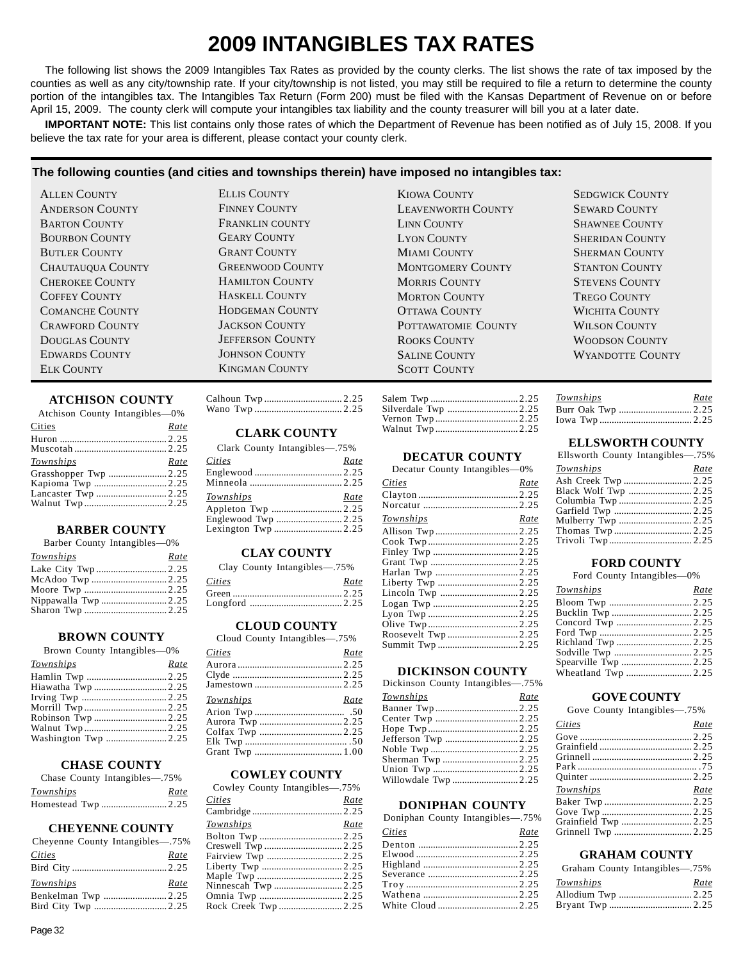## **2009 INTANGIBLES TAX RATES**

The following list shows the 2009 Intangibles Tax Rates as provided by the county clerks. The list shows the rate of tax imposed by the counties as well as any city/township rate. If your city/township is not listed, you may still be required to file a return to determine the county portion of the intangibles tax. The Intangibles Tax Return (Form 200) must be filed with the Kansas Department of Revenue on or before April 15, 2009. The county clerk will compute your intangibles tax liability and the county treasurer will bill you at a later date.

**IMPORTANT NOTE:** This list contains only those rates of which the Department of Revenue has been notified as of July 15, 2008. If you believe the tax rate for your area is different, please contact your county clerk.

## **The following counties (and cities and townships therein) have imposed no intangibles tax:**

#### **ATCHISON COUNTY**

| Atchison County Intangibles-0% |      |
|--------------------------------|------|
| Cities                         | Rate |
|                                |      |
|                                |      |
| Townships                      | Rate |
| Grasshopper Twp 2.25           |      |
| Kapioma Twp 2.25               |      |
|                                |      |
|                                |      |
|                                |      |

## **BARBER COUNTY**

|  |  | Barber County Intangibles—0% |  |
|--|--|------------------------------|--|
|--|--|------------------------------|--|

| Townships            | Rate |
|----------------------|------|
|                      |      |
|                      |      |
|                      |      |
| Nippawalla Twp  2.25 |      |
|                      |      |
|                      |      |

## **BROWN COUNTY**

Brown County Intangibles—0%

| Townships | Rate |
|-----------|------|
|           |      |
|           |      |
|           |      |
|           |      |
|           |      |
|           |      |
|           |      |
|           |      |

#### **CHASE COUNTY**

| Chase County Intangibles—.75% |      |
|-------------------------------|------|
| Townships                     | Rate |
|                               |      |

## **CHEYENNE COUNTY**

| Cheyenne County Intangibles—.75% |      |
|----------------------------------|------|
| <i>Cities</i>                    | Rate |
|                                  |      |
| Townships                        | Rate |
| Benkelman Twp 2.25               |      |
|                                  |      |

## **CLARK COUNTY**

| Clark County Intangibles—.75% |      |
|-------------------------------|------|
| <b>Cities</b>                 | Rate |
|                               |      |
|                               |      |
| <b>Townships</b>              | Rate |
|                               |      |
|                               |      |
|                               |      |

## **CLAY COUNTY**

|        | Clay County Intangibles—.75% |
|--------|------------------------------|
| Cities | Rate                         |
|        |                              |

## Longford ...................................... 2.25 **CLOUD COUNTY**

| Cloud County Intangibles—.75% |
|-------------------------------|
|                               |

| Cities           | Rate |
|------------------|------|
|                  |      |
|                  |      |
|                  |      |
| <b>Townships</b> | Rate |
|                  |      |
|                  |      |
|                  |      |
|                  |      |
|                  |      |

#### **COWLEY COUNTY**

Cowley County Intangibles—.75%

| <b>Cities</b>       | Rate |
|---------------------|------|
|                     |      |
| Townships           | Rate |
|                     |      |
|                     |      |
| Fairview Twp 2.25   |      |
|                     |      |
|                     |      |
| Ninnescah Twp 2.25  |      |
|                     |      |
| Rock Creek Twp 2.25 |      |
|                     |      |

| <b>ELLIS COUNTY</b>     | <b>KIOWA COUNTY</b>       | <b>SEDGWICK COUNTY</b>  |
|-------------------------|---------------------------|-------------------------|
| <b>FINNEY COUNTY</b>    | <b>LEAVENWORTH COUNTY</b> | <b>SEWARD COUNTY</b>    |
| <b>FRANKLIN COUNTY</b>  | LINN COUNTY               | <b>SHAWNEE COUNTY</b>   |
| <b>GEARY COUNTY</b>     | <b>LYON COUNTY</b>        | <b>SHERIDAN COUNTY</b>  |
| <b>GRANT COUNTY</b>     | <b>MIAMI COUNTY</b>       | <b>SHERMAN COUNTY</b>   |
| <b>GREENWOOD COUNTY</b> | <b>MONTGOMERY COUNTY</b>  | <b>STANTON COUNTY</b>   |
| <b>HAMILTON COUNTY</b>  | <b>MORRIS COUNTY</b>      | <b>STEVENS COUNTY</b>   |
| <b>HASKELL COUNTY</b>   | <b>MORTON COUNTY</b>      | <b>TREGO COUNTY</b>     |
| HODGEMAN COUNTY         | <b>OTTAWA COUNTY</b>      | WICHITA COUNTY          |
| <b>JACKSON COUNTY</b>   | POTTAWATOMIE COUNTY       | <b>WILSON COUNTY</b>    |
| <b>JEFFERSON COUNTY</b> | <b>ROOKS COUNTY</b>       | <b>WOODSON COUNTY</b>   |
| <b>JOHNSON COUNTY</b>   | <b>SALINE COUNTY</b>      | <b>WYANDOTTE COUNTY</b> |
| <b>KINGMAN COUNTY</b>   | <b>SCOTT COUNTY</b>       |                         |

| Silverdale Twp  2.25 |  |
|----------------------|--|
|                      |  |
| Walnut Twp2.25       |  |

## **DECATUR COUNTY**

Decatur County Intangibles—0%

| <b>Cities</b> | Rate |
|---------------|------|
|               |      |
|               |      |
| Townships     | Rate |
|               |      |
|               |      |
|               |      |
|               |      |
|               |      |
|               |      |
|               |      |
|               |      |
|               |      |
|               |      |
|               |      |
|               |      |
|               |      |

## **DICKINSON COUNTY**

|  |  | Dickinson County Intangibles-75% |
|--|--|----------------------------------|
|--|--|----------------------------------|

| <b>Townships</b>  | Rate |
|-------------------|------|
|                   |      |
|                   |      |
|                   |      |
|                   |      |
|                   |      |
| Sherman Twp  2.25 |      |
|                   |      |
|                   |      |

## **DONIPHAN COUNTY**

| Doniphan County Intangibles-75% |      |
|---------------------------------|------|
| Cities                          | Rate |
|                                 |      |
|                                 |      |
|                                 |      |
|                                 |      |
|                                 |      |
|                                 |      |
|                                 |      |
|                                 |      |

| <b>Townships</b> | Rate |
|------------------|------|
|                  |      |
|                  |      |

## **ELLSWORTH COUNTY**

| Ellsworth County Intangibles-75% |      |
|----------------------------------|------|
| Townships                        | Rate |
|                                  |      |
| Black Wolf Twp  2.25             |      |
|                                  |      |
|                                  |      |
|                                  |      |
|                                  |      |
|                                  |      |

#### **FORD COUNTY**

Ford County Intangibles—0%

| <b>Townships</b> | Rate |
|------------------|------|
|                  |      |
|                  |      |
|                  |      |
|                  |      |
|                  |      |
|                  |      |
|                  |      |
|                  |      |
|                  |      |

#### **GOVE COUNTY**

Gove County Intangibles—.75%

| Cities               | Rate |
|----------------------|------|
|                      |      |
|                      |      |
|                      |      |
|                      |      |
|                      |      |
| Townships            | Rate |
|                      |      |
|                      |      |
|                      |      |
|                      |      |
| Grainfield Twp  2.25 |      |

## **GRAHAM COUNTY**

| Graham County Intangibles—.75% |      |
|--------------------------------|------|
| <b>Townships</b>               | Rate |
|                                |      |
|                                |      |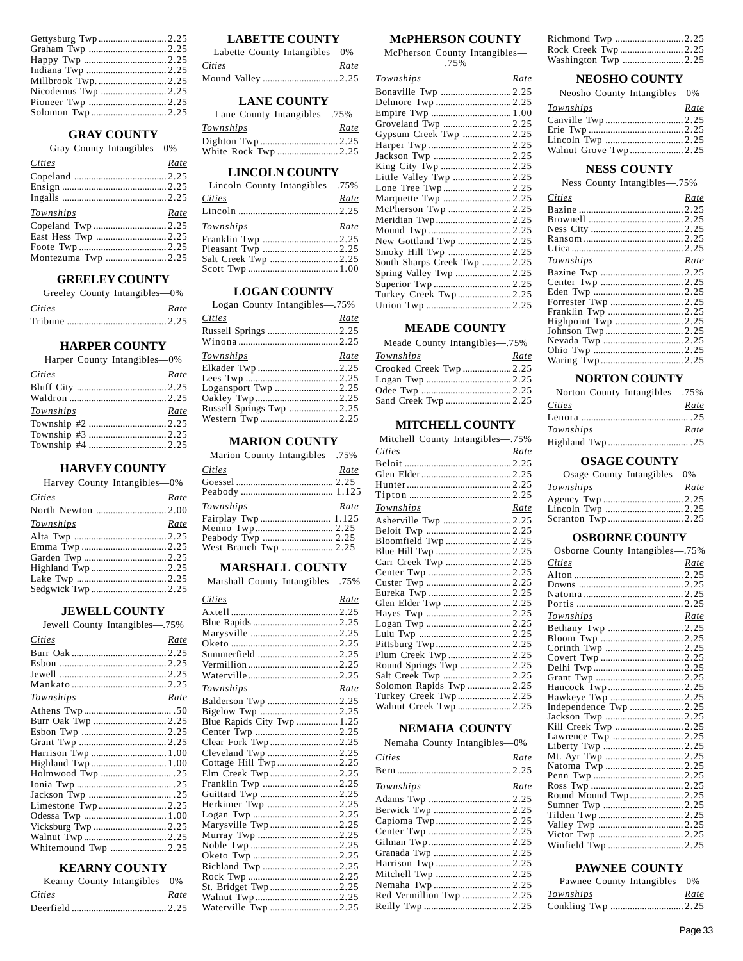#### **GRAY COUNTY**

Gray County Intangibles—0%

| Cities             | Rate |
|--------------------|------|
|                    |      |
|                    |      |
|                    |      |
|                    |      |
|                    |      |
| Townships          | Rate |
|                    |      |
|                    |      |
|                    |      |
| Montezuma Twp 2.25 |      |

## **GREELEY COUNTY**

Greeley County Intangibles—0%

| Cities | Rate |
|--------|------|
|        |      |

#### **HARPER COUNTY**

Harper County Intangibles—0%

| <b>Cities</b> | Rate |
|---------------|------|
|               |      |
|               |      |
| Townships     | Rate |
|               |      |
|               |      |
|               |      |

## **HARVEY COUNTY**

Harvey County Intangibles—0%

| Cities    | Rate |
|-----------|------|
|           |      |
| Townships | Rate |
|           |      |
|           |      |
|           |      |
|           |      |
|           |      |
|           |      |
|           |      |

#### **JEWELL COUNTY**

Jewell County Intangibles—.75%

| Rate                 |
|----------------------|
|                      |
|                      |
|                      |
|                      |
| Rate                 |
|                      |
| Burr Oak Twp  2.25   |
|                      |
|                      |
| Harrison Twp  1.00   |
|                      |
|                      |
|                      |
|                      |
| Limestone Twp2.25    |
|                      |
|                      |
|                      |
| Whitemound Twp  2.25 |
|                      |

## **KEARNY COUNTY**

|        | Kearny County Intangibles—0% |
|--------|------------------------------|
| Cities | Rate                         |
|        |                              |

## **LABETTE COUNTY**

Labette County Intangibles—0% *Cities Rate*  Mound Valley ............................... 2.25

#### **LANE COUNTY**

| Lane County Intangibles—.75% |      |
|------------------------------|------|
| Townships                    | Rate |
|                              |      |
| White Rock Twp 2.25          |      |

#### **LINCOLN COUNTY**

| Lincoln County Intangibles—.75% |      |
|---------------------------------|------|
| Cities                          | Rate |
|                                 |      |
| Townships                       | Rate |
|                                 |      |
| Pleasant Twp  2.25              |      |
|                                 |      |
|                                 |      |

#### **LOGAN COUNTY**

Logan County Intangibles—.75%

| Cities                    | Rate |
|---------------------------|------|
|                           |      |
|                           |      |
| Townships                 | Rate |
|                           |      |
|                           |      |
|                           |      |
|                           |      |
| Russell Springs Twp  2.25 |      |
|                           |      |
|                           |      |

## **MARION COUNTY**

| Marion County Intangibles—.75% |      |
|--------------------------------|------|
| Cities                         | Rate |
|                                |      |
|                                |      |
|                                |      |
| Townships                      | Rate |
|                                |      |
|                                |      |
| Peabody Twp  2.25              |      |

#### **MARSHALL COUNTY**

Marshall County Intangibles—.75%

| Cities                     | Rate |
|----------------------------|------|
|                            |      |
|                            |      |
|                            |      |
|                            |      |
| Summerfield  2.25          |      |
|                            |      |
|                            |      |
| <b>Townships</b>           | Rate |
|                            |      |
|                            |      |
| Blue Rapids City Twp  1.25 |      |
|                            |      |
| Clear Fork Twp  2.25       |      |
|                            |      |
| Cottage Hill Twp2.25       |      |
| Elm Creek Twp2.25          |      |
|                            |      |
|                            |      |
| Herkimer Twp 2.25          |      |
|                            |      |
| Marysville Twp2.25         |      |
|                            |      |
|                            |      |
|                            |      |
| Richland Twp 2.25          |      |
|                            |      |
| St. Bridget Twp2.25        |      |
|                            |      |
| Waterville Twp  2.25       |      |

## **McPHERSON COUNTY**

McPherson County Intangibles— .75%

| Townships                    | Rate |
|------------------------------|------|
|                              |      |
|                              |      |
| Empire Twp  1.00             |      |
| Groveland Twp  2.25          |      |
| Gypsum Creek Twp  2.25       |      |
|                              |      |
|                              |      |
|                              |      |
| Little Valley Twp  2.25      |      |
|                              |      |
| Marquette Twp  2.25          |      |
|                              |      |
|                              |      |
|                              |      |
| New Gottland Twp  2.25       |      |
|                              |      |
| South Sharps Creek Twp  2.25 |      |
|                              |      |
|                              |      |
| Turkey Creek Twp 2.25        |      |
|                              |      |

## **MEADE COUNTY**

Meade County Intangibles—.75%

| Townships             | Rate |
|-----------------------|------|
| Crooked Creek Twp2.25 |      |
|                       |      |
|                       |      |
|                       |      |
|                       |      |

## **MITCHELL COUNTY**

| Mitchell County Intangibles—.75% |      |
|----------------------------------|------|
| Cities                           | Rate |
|                                  |      |
|                                  |      |
|                                  |      |
|                                  |      |
| Townships                        | Rate |
|                                  |      |
|                                  |      |
| Bloomfield Twp  2.25             |      |
|                                  |      |
| Carr Creek Twp  2.25             |      |
|                                  |      |
|                                  |      |
|                                  |      |
| Glen Elder Twp  2.25             |      |
|                                  |      |
|                                  |      |
|                                  |      |
|                                  |      |
| Plum Creek Twp  2.25             |      |
| Round Springs Twp  2.25          |      |
|                                  |      |
| Solomon Rapids Twp  2.25         |      |
| Turkey Creek Twp 2.25            |      |
| Walnut Creek Twp  2.25           |      |

## **NEMAHA COUNTY**

| Nemaha County Intangibles-0% |      |
|------------------------------|------|
| Cities                       | Rate |
|                              |      |
| Townships                    | Rate |
|                              |      |
|                              |      |
|                              |      |
|                              |      |
|                              |      |
|                              |      |
|                              |      |
|                              |      |
|                              |      |
|                              |      |
|                              |      |

| Richmond Twp 2.25   |  |
|---------------------|--|
| Rock Creek Twp 2.25 |  |
|                     |  |

## **NEOSHO COUNTY**

Neosho County Intangibles—0%

| Townships | Rate |
|-----------|------|
|           |      |
|           |      |
|           |      |
|           |      |

## **NESS COUNTY**

Ness County Intangibles—.75%

| Cities    | Rate |
|-----------|------|
|           |      |
|           |      |
|           |      |
|           |      |
|           |      |
| Townships | Rate |
|           |      |
|           |      |
|           |      |
|           |      |
|           |      |
|           |      |
|           |      |
|           |      |
|           |      |
|           |      |
|           |      |

## **NORTON COUNTY**

| Norton County Intangibles—.75% |      |
|--------------------------------|------|
| Cities                         | Rate |
|                                |      |
| Townships                      | Rate |
|                                |      |

#### **OSAGE COUNTY**

Osage County Intangibles—0%

| Townships |  | Rate |
|-----------|--|------|
|           |  |      |
|           |  |      |
|           |  |      |

#### **OSBORNE COUNTY**

| Osborne County Intangibles-75% |  |
|--------------------------------|--|
| Cities<br>Rate                 |  |
|                                |  |
|                                |  |
|                                |  |
|                                |  |
| Townships<br>Rate              |  |
|                                |  |
|                                |  |
|                                |  |
|                                |  |
|                                |  |
|                                |  |
|                                |  |
| Hawkeye Twp 2.25               |  |
| Independence Twp 2.25          |  |
|                                |  |
| Kill Creek Twp  2.25           |  |
|                                |  |
|                                |  |
|                                |  |
|                                |  |
|                                |  |
|                                |  |
| Round Mound Twp2.25            |  |
|                                |  |
|                                |  |
|                                |  |
|                                |  |
|                                |  |

#### **PAWNEE COUNTY**

|           | Pawnee County Intangibles-0% |
|-----------|------------------------------|
| Townships | Rate                         |
|           |                              |